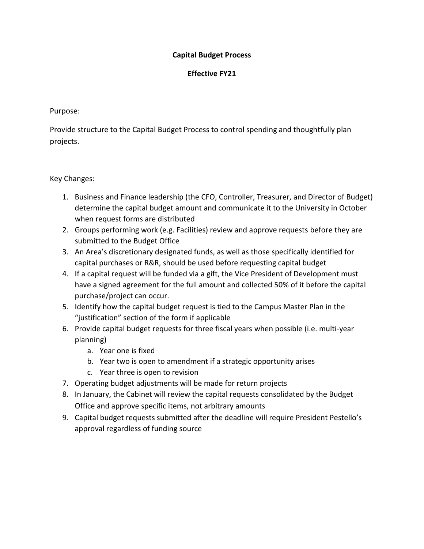## **Capital Budget Process**

## **Effective FY21**

#### Purpose:

Provide structure to the Capital Budget Process to control spending and thoughtfully plan projects.

# Key Changes:

- 1. Business and Finance leadership (the CFO, Controller, Treasurer, and Director of Budget) determine the capital budget amount and communicate it to the University in October when request forms are distributed
- 2. Groups performing work (e.g. Facilities) review and approve requests before they are submitted to the Budget Office
- 3. An Area's discretionary designated funds, as well as those specifically identified for capital purchases or R&R, should be used before requesting capital budget
- 4. If a capital request will be funded via a gift, the Vice President of Development must have a signed agreement for the full amount and collected 50% of it before the capital purchase/project can occur.
- 5. Identify how the capital budget request is tied to the Campus Master Plan in the "justification" section of the form if applicable
- 6. Provide capital budget requests for three fiscal years when possible (i.e. multi-year planning)
	- a. Year one is fixed
	- b. Year two is open to amendment if a strategic opportunity arises
	- c. Year three is open to revision
- 7. Operating budget adjustments will be made for return projects
- 8. In January, the Cabinet will review the capital requests consolidated by the Budget Office and approve specific items, not arbitrary amounts
- 9. Capital budget requests submitted after the deadline will require President Pestello's approval regardless of funding source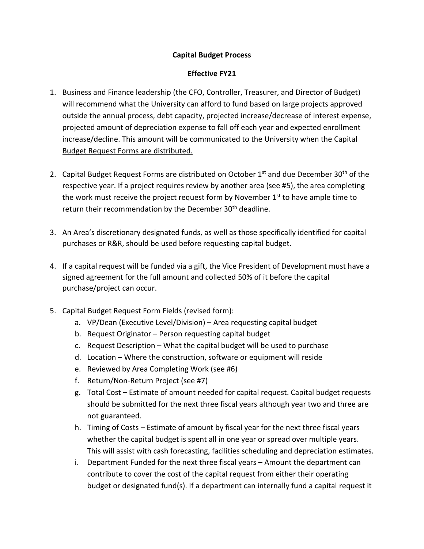# **Capital Budget Process**

## **Effective FY21**

- 1. Business and Finance leadership (the CFO, Controller, Treasurer, and Director of Budget) will recommend what the University can afford to fund based on large projects approved outside the annual process, debt capacity, projected increase/decrease of interest expense, projected amount of depreciation expense to fall off each year and expected enrollment increase/decline. This amount will be communicated to the University when the Capital Budget Request Forms are distributed.
- 2. Capital Budget Request Forms are distributed on October 1<sup>st</sup> and due December 30<sup>th</sup> of the respective year. If a project requires review by another area (see #5), the area completing the work must receive the project request form by November 1<sup>st</sup> to have ample time to return their recommendation by the December 30<sup>th</sup> deadline.
- 3. An Area's discretionary designated funds, as well as those specifically identified for capital purchases or R&R, should be used before requesting capital budget.
- 4. If a capital request will be funded via a gift, the Vice President of Development must have a signed agreement for the full amount and collected 50% of it before the capital purchase/project can occur.
- 5. Capital Budget Request Form Fields (revised form):
	- a. VP/Dean (Executive Level/Division) Area requesting capital budget
	- b. Request Originator Person requesting capital budget
	- c. Request Description What the capital budget will be used to purchase
	- d. Location Where the construction, software or equipment will reside
	- e. Reviewed by Area Completing Work (see #6)
	- f. Return/Non-Return Project (see #7)
	- g. Total Cost Estimate of amount needed for capital request. Capital budget requests should be submitted for the next three fiscal years although year two and three are not guaranteed.
	- h. Timing of Costs Estimate of amount by fiscal year for the next three fiscal years whether the capital budget is spent all in one year or spread over multiple years. This will assist with cash forecasting, facilities scheduling and depreciation estimates.
	- i. Department Funded for the next three fiscal years Amount the department can contribute to cover the cost of the capital request from either their operating budget or designated fund(s). If a department can internally fund a capital request it